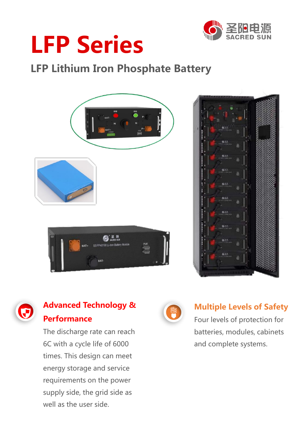

# **LFP Series**

## **LFP Lithium Iron Phosphate Battery**







### **Advanced Technology & Performance**

The discharge rate can reach 6C with a cycle life of 6000 times. This design can meet energy storage and service requirements on the power supply side, the grid side as well as the user side.



### **Multiple Levels of Safety**

Four levels of protection for batteries, modules, cabinets and complete systems.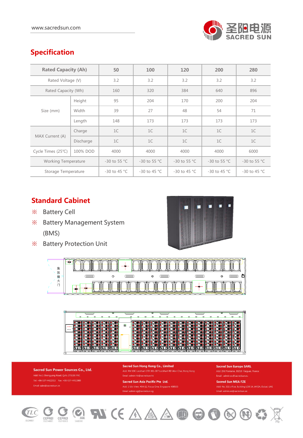

#### **Specification**

| <b>Rated Capacity (Ah)</b> |           | 50             | 100            | 120            | 200            | 280            |
|----------------------------|-----------|----------------|----------------|----------------|----------------|----------------|
| Rated Voltage (V)          |           | 3.2            | 3.2            | 3.2            | 3.2            | 3.2            |
| Rated Capacity (Wh)        |           | 160            | 320            | 384            | 640            | 896            |
| Size (mm)                  | Height    | 95             | 204            | 170            | 200            | 204            |
|                            | Width     | 39             | 27             | 48             | 54             | 71             |
|                            | Length    | 148            | 173            | 173            | 173            | 173            |
| MAX Current (A)            | Charge    | 1C             | 1C             | 1C             | 1C             | 1C             |
|                            | Discharge | 1C             | 1C             | 1C             | 1C             | 1C             |
| Cycle Times (25°C)         | 100% DOD  | 4000           | 4000           | 4000           | 4000           | 6000           |
| <b>Working Temperature</b> |           | $-30$ to 55 °C | $-30$ to 55 °C | $-30$ to 55 °C | $-30$ to 55 °C | -30 to 55 °C   |
| Storage Temperature        |           | $-30$ to 45 °C | $-30$ to 45 °C | $-30$ to 45 °C | $-30$ to 45 °C | $-30$ to 45 °C |

#### **Standard Cabinet**

- ※ Battery Cell
- ※ Battery Management System (BMS)
- ※ Battery Protection Unit







Sacred Sun Power Sources Co., Ltd. Tel: +86-537-4422313 Fax: +86-537-4411980

Sacred Sun Hong Kong Co., Limited .<br>Email: admin.hk@sacredsun.hk

Sacred Sun Asia Pacific Pte Ltd.

**Sacred Sun Europe SARL** Email: admin.eu@sacredsun.eu

Sacred Sun MEA FZE Email: admin.ae@sacredsun.ae